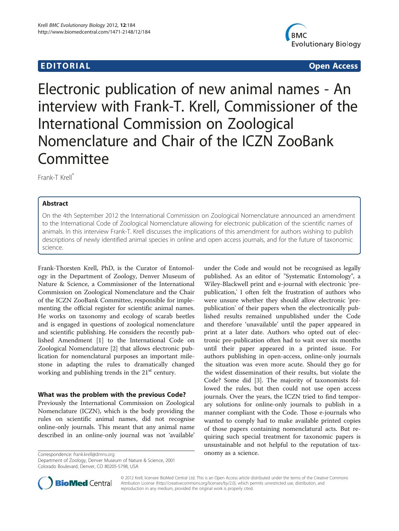# **EDITORIAL** CONTROL CONTROL CONTROL CONTROL CONTROL CONTROL CONTROL CONTROL CONTROL CONTROL CONTROL CONTROL CONTROL CONTROL CONTROL CONTROL CONTROL CONTROL CONTROL CONTROL CONTROL CONTROL CONTROL CONTROL CONTROL CONTROL CO



# Electronic publication of new animal names - An interview with Frank-T. Krell, Commissioner of the International Commission on Zoological Nomenclature and Chair of the ICZN ZooBank **Committee**

Frank-T Krell\*

### Abstract

On the 4th September 2012 the International Commission on Zoological Nomenclature announced an amendment to the International Code of Zoological Nomenclature allowing for electronic publication of the scientific names of animals. In this interview Frank-T. Krell discusses the implications of this amendment for authors wishing to publish descriptions of newly identified animal species in online and open access journals, and for the future of taxonomic science.

Frank-Thorsten Krell, PhD, is the Curator of Entomology in the Department of Zoology, Denver Museum of Nature & Science, a Commissioner of the International Commission on Zoological Nomenclature and the Chair of the ICZN ZooBank Committee, responsible for implementing the official register for scientific animal names. He works on taxonomy and ecology of scarab beetles and is engaged in questions of zoological nomenclature and scientific publishing. He considers the recently published Amendment [[1\]](#page-3-0) to the International Code on Zoological Nomenclature [[2\]](#page-3-0) that allows electronic publication for nomenclatural purposes an important milestone in adapting the rules to dramatically changed working and publishing trends in the  $21<sup>st</sup>$  century.

## What was the problem with the previous Code?

Previously the International Commission on Zoological Nomenclature (ICZN), which is the body providing the rules on scientific animal names, did not recognise online-only journals. This meant that any animal name described in an online-only journal was not 'available'

Correspondence: [frank.krell@dmns.org](mailto:frank.krell@dmns.org) conomy as a science.

Department of Zoology, Denver Museum of Nature & Science, 2001 Colorado Boulevard, Denver, CO 80205-5798, USA

under the Code and would not be recognised as legally published. As an editor of "Systematic Entomology", a Wiley-Blackwell print and e-journal with electronic 'prepublication,' I often felt the frustration of authors who were unsure whether they should allow electronic 'prepublication' of their papers when the electronically published results remained unpublished under the Code and therefore 'unavailable' until the paper appeared in print at a later date. Authors who opted out of electronic pre-publication often had to wait over six months until their paper appeared in a printed issue. For authors publishing in open-access, online-only journals the situation was even more acute. Should they go for the widest dissemination of their results, but violate the Code? Some did [[3\]](#page-3-0). The majority of taxonomists followed the rules, but then could not use open access journals. Over the years, the ICZN tried to find temporary solutions for online-only journals to publish in a manner compliant with the Code. Those e-journals who wanted to comply had to make available printed copies of those papers containing nomenclatural acts. But requiring such special treatment for taxonomic papers is unsustainable and not helpful to the reputation of tax-



© 2012 Krell; licensee BioMed Central Ltd. This is an Open Access article distributed under the terms of the Creative Commons Attribution License (<http://creativecommons.org/licenses/by/2.0>), which permits unrestricted use, distribution, and reproduction in any medium, provided the original work is properly cited.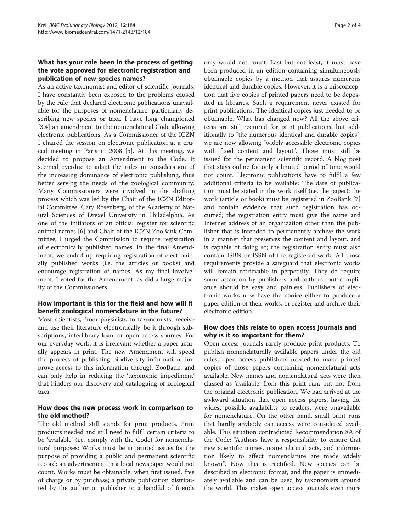#### What has your role been in the process of getting the vote approved for electronic registration and publication of new species names?

As an active taxonomist and editor of scientific journals, I have constantly been exposed to the problems caused by the rule that declared electronic publications unavailable for the purposes of nomenclature, particularly describing new species or taxa. I have long championed [[3,4\]](#page-3-0) an amendment to the nomenclatural Code allowing electronic publications. As a Commissioner of the ICZN I chaired the session on electronic publication at a crucial meeting in Paris in 2008 [\[5](#page-3-0)]. At this meeting, we decided to propose an Amendment to the Code. It seemed overdue to adapt the rules in consideration of the increasing dominance of electronic publishing, thus better serving the needs of the zoological community. Many Commissioners were involved in the drafting process which was led by the Chair of the ICZN Editorial Committee, Gary Rosenberg, of the Academy of Natural Sciences of Drexel University in Philadelphia. As one of the initiators of an official register for scientific animal names [\[6](#page-3-0)] and Chair of the ICZN ZooBank Committee, I urged the Commission to require registration of electronically published names. In the final Amendment, we ended up requiring registration of electronically published works (i.e. the articles or books) and encourage registration of names. As my final involvement, I voted for the Amendment, as did a large majority of the Commissioners.

### How important is this for the field and how will it benefit zoological nomenclature in the future?

Most scientists, from physicists to taxonomists, receive and use their literature electronically, be it through subscriptions, interlibrary loan, or open access sources. For our everyday work, it is irrelevant whether a paper actually appears in print. The new Amendment will speed the process of publishing biodiversity information, improve access to this information through ZooBank, and can only help in reducing the 'taxonomic impediment' that hinders our discovery and cataloguing of zoological taxa.

#### How does the new process work in comparison to the old method?

The old method still stands for print products. Print products needed and still need to fulfil certain criteria to be 'available' (i.e. comply with the Code) for nomenclatural purposes: Works must be in printed issues for the purpose of providing a public and permanent scientific record; an advertisement in a local newspaper would not count. Works must be obtainable, when first issued, free of charge or by purchase; a private publication distributed by the author or publisher to a handful of friends

only would not count. Last but not least, it must have been produced in an edition containing simultaneously obtainable copies by a method that assures numerous identical and durable copies. However, it is a misconception that five copies of printed papers need to be deposited in libraries. Such a requirement never existed for print publications. The identical copies just needed to be obtainable. What has changed now? All the above criteria are still required for print publications, but additionally to "the numerous identical and durable copies", we are now allowing "widely accessible electronic copies with fixed content and layout". Those must still be issued for the permanent scientific record. A blog post that stays online for only a limited period of time would not count. Electronic publications have to fulfil a few additional criteria to be available: The date of publication must be stated in the work itself (i.e. the paper); the work (article or book) must be registered in ZooBank [\[7](#page-3-0)] and contain evidence that such registration has occurred; the registration entry must give the name and Internet address of an organization other than the publisher that is intended to permanently archive the work in a manner that preserves the content and layout, and is capable of doing so; the registration entry must also contain ISBN or ISSN of the registered work. All those requirements provide a safeguard that electronic works will remain retrievable in perpetuity. They do require some attention by publishers and authors, but compliance should be easy and painless. Publishers of electronic works now have the choice either to produce a paper edition of their works, or register and archive their electronic edition.

#### How does this relate to open access journals and why is it so important for them?

Open access journals rarely produce print products. To publish nomenclaturally available papers under the old rules, open access publishers needed to make printed copies of those papers containing nomenclatural acts available. New names and nomenclatural acts were then classed as 'available' from this print run, but not from the original electronic publication. We had arrived at the awkward situation that open access papers, having the widest possible availability to readers, were unavailable for nomenclature. On the other hand, small print runs that hardly anybody can access were considered available. This situation contradicted Recommendation 8A of the Code: "Authors have a responsibility to ensure that new scientific names, nomenclatural acts, and information likely to affect nomenclature are made widely known". Now this is rectified. New species can be described in electronic format, and the paper is immediately available and can be used by taxonomists around the world. This makes open access journals even more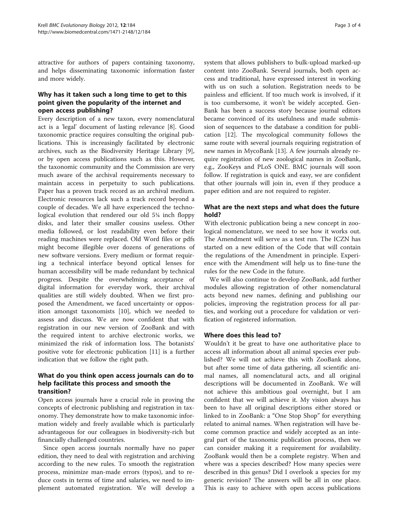attractive for authors of papers containing taxonomy, and helps disseminating taxonomic information faster and more widely.

#### Why has it taken such a long time to get to this point given the popularity of the internet and open access publishing?

Every description of a new taxon, every nomenclatural act is a 'legal' document of lasting relevance [\[8](#page-3-0)]. Good taxonomic practice requires consulting the original publications. This is increasingly facilitated by electronic archives, such as the Biodiversity Heritage Library [\[9](#page-3-0)], or by open access publications such as this. However, the taxonomic community and the Commission are very much aware of the archival requirements necessary to maintain access in perpetuity to such publications. Paper has a proven track record as an archival medium. Electronic resources lack such a track record beyond a couple of decades. We all have experienced the technological evolution that rendered our old 5¼ inch floppy disks, and later their smaller cousins useless. Other media followed, or lost readability even before their reading machines were replaced. Old Word files or pdfs might become illegible over dozens of generations of new software versions. Every medium or format requiring a technical interface beyond optical lenses for human accessibility will be made redundant by technical progress. Despite the overwhelming acceptance of digital information for everyday work, their archival qualities are still widely doubted. When we first proposed the Amendment, we faced uncertainty or opposition amongst taxonomists [[10\]](#page-3-0), which we needed to assess and discuss. We are now confident that with registration in our new version of ZooBank and with the required intent to archive electronic works, we minimized the risk of information loss. The botanists' positive vote for electronic publication [\[11](#page-3-0)] is a further indication that we follow the right path.

#### What do you think open access journals can do to help facilitate this process and smooth the transition?

Open access journals have a crucial role in proving the concepts of electronic publishing and registration in taxonomy. They demonstrate how to make taxonomic information widely and freely available which is particularly advantageous for our colleagues in biodiversity-rich but financially challenged countries.

Since open access journals normally have no paper edition, they need to deal with registration and archiving according to the new rules. To smooth the registration process, minimize man-made errors (typos), and to reduce costs in terms of time and salaries, we need to implement automated registration. We will develop a

system that allows publishers to bulk-upload marked-up content into ZooBank. Several journals, both open access and traditional, have expressed interest in working with us on such a solution. Registration needs to be painless and efficient. If too much work is involved, if it is too cumbersome, it won't be widely accepted. Gen-Bank has been a success story because journal editors became convinced of its usefulness and made submission of sequences to the database a condition for publication [\[12\]](#page-3-0). The mycological community follows the same route with several journals requiring registration of new names in MycoBank [\[13\]](#page-3-0). A few journals already require registration of new zoological names in ZooBank, e.g., ZooKeys and PLoS ONE. BMC journals will soon follow. If registration is quick and easy, we are confident that other journals will join in, even if they produce a paper edition and are not required to register.

### What are the next steps and what does the future hold?

With electronic publication being a new concept in zoological nomenclature, we need to see how it works out. The Amendment will serve as a test run. The ICZN has started on a new edition of the Code that will contain the regulations of the Amendment in principle. Experience with the Amendment will help us to fine-tune the rules for the new Code in the future.

We will also continue to develop ZooBank, add further modules allowing registration of other nomenclatural acts beyond new names, defining and publishing our policies, improving the registration process for all parties, and working out a procedure for validation or verification of registered information.

#### Where does this lead to?

Wouldn't it be great to have one authoritative place to access all information about all animal species ever published? We will not achieve this with ZooBank alone, but after some time of data gathering, all scientific animal names, all nomenclatural acts, and all original descriptions will be documented in ZooBank. We will not achieve this ambitious goal overnight, but I am confident that we will achieve it. My vision always has been to have all original descriptions either stored or linked to in ZooBank: a "One Stop Shop" for everything related to animal names. When registration will have become common practice and widely accepted as an integral part of the taxonomic publication process, then we can consider making it a requirement for availability. ZooBank would then be a complete registry. When and where was a species described? How many species were described in this genus? Did I overlook a species for my generic revision? The answers will be all in one place. This is easy to achieve with open access publications